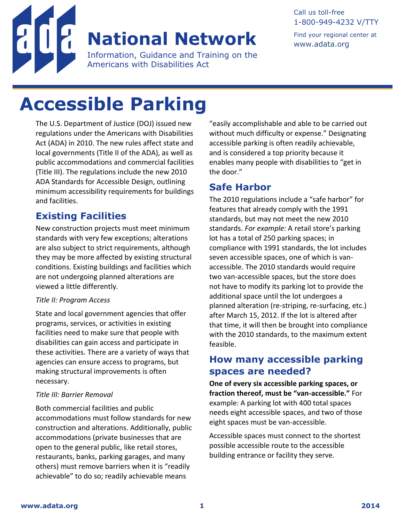

### **Title II and Title III Revised Regulations: Accessible Parking National Network**

Information, Guidance and Training on the Americans with Disabilities Act

Call us toll-free 1-800-949-4232 V/TTY

Find your regional center at [www.adata.org](http://www.adata.org/)

# **Accessible Parking**

The U.S. Department of Justice (DOJ) issued new regulations under the Americans with Disabilities Act (ADA) in 2010. The new rules affect state and local governments (Title II of the ADA), as well as public accommodations and commercial facilities (Title III). The regulations include the new 2010 ADA Standards for Accessible Design, outlining minimum accessibility requirements for buildings and facilities.

### **Existing Facilities**

New construction projects must meet minimum standards with very few exceptions; alterations are also subject to strict requirements, although they may be more affected by existing structural conditions. Existing buildings and facilities which are not undergoing planned alterations are viewed a little differently.

#### *Title II: Program Access*

State and local government agencies that offer programs, services, or activities in existing facilities need to make sure that people with disabilities can gain access and participate in these activities. There are a variety of ways that agencies can ensure access to programs, but making structural improvements is often necessary.

#### *Title III: Barrier Removal*

Both commercial facilities and public accommodations must follow standards for new construction and alterations. Additionally, public accommodations (private businesses that are open to the general public, like retail stores, restaurants, banks, parking garages, and many others) must remove barriers when it is "readily achievable" to do so; readily achievable means

"easily accomplishable and able to be carried out without much difficulty or expense." Designating accessible parking is often readily achievable, and is considered a top priority because it enables many people with disabilities to "get in the door."

#### **Safe Harbor**

The 2010 regulations include a "safe harbor" for features that already comply with the 1991 standards, but may not meet the new 2010 standards. *For example:* A retail store's parking lot has a total of 250 parking spaces; in compliance with 1991 standards, the lot includes seven accessible spaces, one of which is vanaccessible. The 2010 standards would require two van-accessible spaces, but the store does not have to modify its parking lot to provide the additional space until the lot undergoes a planned alteration (re-striping, re-surfacing, etc.) after March 15, 2012. If the lot is altered after that time, it will then be brought into compliance with the 2010 standards, to the maximum extent feasible.

#### **How many accessible parking spaces are needed?**

**One of every six accessible parking spaces, or fraction thereof, must be "van-accessible."** For example: A parking lot with 400 total spaces needs eight accessible spaces, and two of those eight spaces must be van-accessible.

Accessible spaces must connect to the shortest possible accessible route to the accessible building entrance or facility they serve.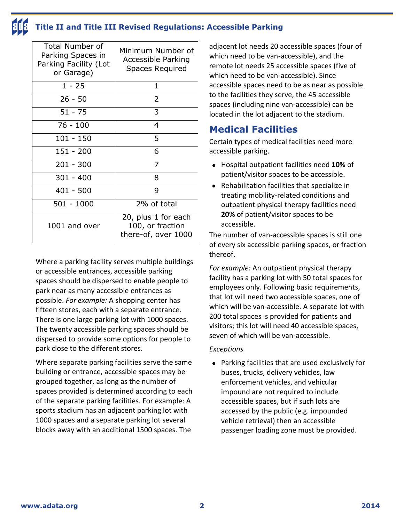### **Title II and Title III Revised Regulations: Accessible Parking**

| <b>Total Number of</b><br>Parking Spaces in<br>Parking Facility (Lot<br>or Garage) | Minimum Number of<br>Accessible Parking<br><b>Spaces Required</b> |
|------------------------------------------------------------------------------------|-------------------------------------------------------------------|
| $1 - 25$                                                                           | 1                                                                 |
| $26 - 50$                                                                          | 2                                                                 |
| $51 - 75$                                                                          | 3                                                                 |
| $76 - 100$                                                                         | 4                                                                 |
| $101 - 150$                                                                        | 5                                                                 |
| $151 - 200$                                                                        | 6                                                                 |
| $201 - 300$                                                                        | 7                                                                 |
| $301 - 400$                                                                        | 8                                                                 |
| $401 - 500$                                                                        | q                                                                 |
| 501 - 1000                                                                         | 2% of total                                                       |
| 1001 and over                                                                      | 20, plus 1 for each<br>100, or fraction<br>there-of, over 1000    |

Where a parking facility serves multiple buildings or accessible entrances, accessible parking spaces should be dispersed to enable people to park near as many accessible entrances as possible. *For example:* A shopping center has fifteen stores, each with a separate entrance. There is one large parking lot with 1000 spaces. The twenty accessible parking spaces should be dispersed to provide some options for people to park close to the different stores.

Where separate parking facilities serve the same building or entrance, accessible spaces may be grouped together, as long as the number of spaces provided is determined according to each of the separate parking facilities. For example: A sports stadium has an adjacent parking lot with 1000 spaces and a separate parking lot several blocks away with an additional 1500 spaces. The

adjacent lot needs 20 accessible spaces (four of which need to be van-accessible), and the remote lot needs 25 accessible spaces (five of which need to be van-accessible). Since accessible spaces need to be as near as possible to the facilities they serve, the 45 accessible spaces (including nine van-accessible) can be located in the lot adjacent to the stadium.

## **Medical Facilities**

Certain types of medical facilities need more accessible parking.

- Hospital outpatient facilities need **10%** of patient/visitor spaces to be accessible.
- Rehabilitation facilities that specialize in treating mobility-related conditions and outpatient physical therapy facilities need **20%** of patient/visitor spaces to be accessible.

The number of van-accessible spaces is still one of every six accessible parking spaces, or fraction thereof.

*For example:* An outpatient physical therapy facility has a parking lot with 50 total spaces for employees only. Following basic requirements, that lot will need two accessible spaces, one of which will be van-accessible. A separate lot with 200 total spaces is provided for patients and visitors; this lot will need 40 accessible spaces, seven of which will be van-accessible.

#### *Exceptions*

 Parking facilities that are used exclusively for buses, trucks, delivery vehicles, law enforcement vehicles, and vehicular impound are not required to include accessible spaces, but if such lots are accessed by the public (e.g. impounded vehicle retrieval) then an accessible passenger loading zone must be provided.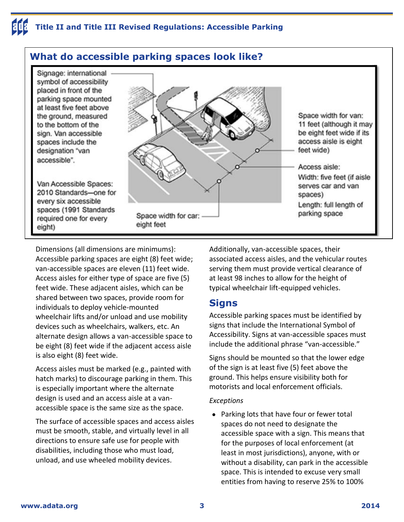#### **What do accessible parking spaces look like?** Signage: international symbol of accessibility placed in front of the parking space mounted at least five feet above Space width for van: the ground, measured 11 feet (although it may to the bottom of the be eight feet wide if its sign. Van accessible access aisle is eight spaces include the feet wide) designation "van accessible". Access aisle: Width: five feet (if aisle Van Accessible Spaces: serves car and van 2010 Standards-one for spaces) every six accessible Length: full length of spaces (1991 Standards parking space Space width for car: required one for every eight feet eight)

Dimensions (all dimensions are minimums): Accessible parking spaces are eight (8) feet wide; van-accessible spaces are eleven (11) feet wide. Access aisles for either type of space are five (5) feet wide. These adjacent aisles, which can be shared between two spaces, provide room for individuals to deploy vehicle-mounted wheelchair lifts and/or unload and use mobility devices such as wheelchairs, walkers, etc. An alternate design allows a van-accessible space to be eight (8) feet wide if the adjacent access aisle is also eight (8) feet wide.

Access aisles must be marked (e.g., painted with hatch marks) to discourage parking in them. This is especially important where the alternate design is used and an access aisle at a vanaccessible space is the same size as the space.

The surface of accessible spaces and access aisles must be smooth, stable, and virtually level in all directions to ensure safe use for people with disabilities, including those who must load, unload, and use wheeled mobility devices.

Additionally, van-accessible spaces, their associated access aisles, and the vehicular routes serving them must provide vertical clearance of at least 98 inches to allow for the height of typical wheelchair lift-equipped vehicles.

#### **Signs**

Accessible parking spaces must be identified by signs that include the International Symbol of Accessibility. Signs at van-accessible spaces must include the additional phrase "van-accessible."

Signs should be mounted so that the lower edge of the sign is at least five (5) feet above the ground. This helps ensure visibility both for motorists and local enforcement officials.

#### *Exceptions*

• Parking lots that have four or fewer total spaces do not need to designate the accessible space with a sign. This means that for the purposes of local enforcement (at least in most jurisdictions), anyone, with or without a disability, can park in the accessible space. This is intended to excuse very small entities from having to reserve 25% to 100%